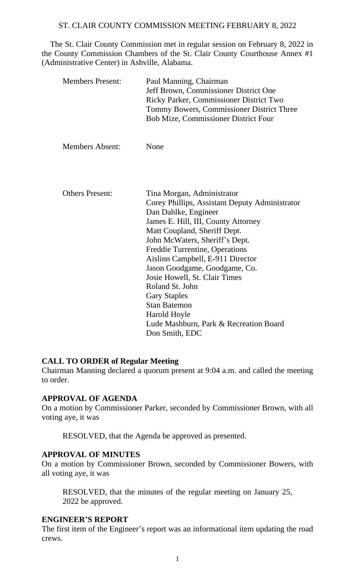The St. Clair County Commission met in regular session on February 8, 2022 in the County Commission Chambers of the St. Clair County Courthouse Annex #1 (Administrative Center) in Ashville, Alabama.

|  | <b>Members Present:</b> | Paul Manning, Chairman<br>Jeff Brown, Commissioner District One<br>Ricky Parker, Commissioner District Two<br>Tommy Bowers, Commissioner District Three<br><b>Bob Mize, Commissioner District Four</b> |
|--|-------------------------|--------------------------------------------------------------------------------------------------------------------------------------------------------------------------------------------------------|
|  | <b>Members Absent:</b>  | None                                                                                                                                                                                                   |
|  |                         |                                                                                                                                                                                                        |
|  | <b>Others Present:</b>  | Tina Morgan, Administrator                                                                                                                                                                             |
|  |                         | Corey Phillips, Assistant Deputy Administrator                                                                                                                                                         |
|  |                         | Dan Dahlke, Engineer                                                                                                                                                                                   |
|  |                         | James E. Hill, III, County Attorney                                                                                                                                                                    |
|  |                         | Matt Coupland, Sheriff Dept.                                                                                                                                                                           |
|  |                         | John McWaters, Sheriff's Dept.                                                                                                                                                                         |
|  |                         | Freddie Turrentine, Operations                                                                                                                                                                         |
|  |                         | Aislinn Campbell, E-911 Director                                                                                                                                                                       |
|  |                         | Jason Goodgame, Goodgame, Co.                                                                                                                                                                          |
|  |                         | Josie Howell, St. Clair Times                                                                                                                                                                          |
|  |                         | Roland St. John                                                                                                                                                                                        |
|  |                         | <b>Gary Staples</b>                                                                                                                                                                                    |
|  |                         | <b>Stan Batemon</b>                                                                                                                                                                                    |
|  |                         | Harold Hoyle                                                                                                                                                                                           |
|  |                         | Lude Mashburn, Park & Recreation Board                                                                                                                                                                 |
|  |                         | Don Smith, EDC                                                                                                                                                                                         |

## **CALL TO ORDER of Regular Meeting**

Chairman Manning declared a quorum present at 9:04 a.m. and called the meeting to order.

#### **APPROVAL OF AGENDA**

On a motion by Commissioner Parker, seconded by Commissioner Brown, with all voting aye, it was

RESOLVED, that the Agenda be approved as presented.

#### **APPROVAL OF MINUTES**

On a motion by Commissioner Brown, seconded by Commissioner Bowers, with all voting aye, it was

RESOLVED, that the minutes of the regular meeting on January 25, 2022 be approved.

## **ENGINEER'S REPORT**

The first item of the Engineer's report was an informational item updating the road crews.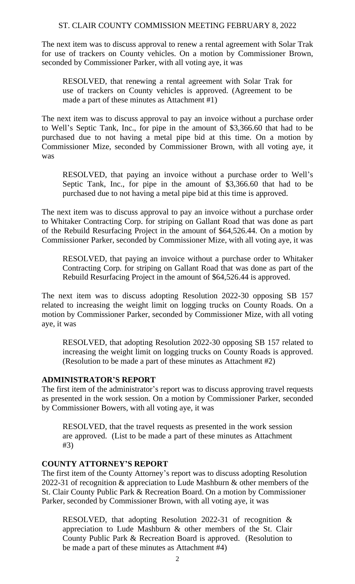The next item was to discuss approval to renew a rental agreement with Solar Trak for use of trackers on County vehicles. On a motion by Commissioner Brown, seconded by Commissioner Parker, with all voting aye, it was

RESOLVED, that renewing a rental agreement with Solar Trak for use of trackers on County vehicles is approved. (Agreement to be made a part of these minutes as Attachment #1)

The next item was to discuss approval to pay an invoice without a purchase order to Well's Septic Tank, Inc., for pipe in the amount of \$3,366.60 that had to be purchased due to not having a metal pipe bid at this time. On a motion by Commissioner Mize, seconded by Commissioner Brown, with all voting aye, it was

RESOLVED, that paying an invoice without a purchase order to Well's Septic Tank, Inc., for pipe in the amount of \$3,366.60 that had to be purchased due to not having a metal pipe bid at this time is approved.

The next item was to discuss approval to pay an invoice without a purchase order to Whitaker Contracting Corp. for striping on Gallant Road that was done as part of the Rebuild Resurfacing Project in the amount of \$64,526.44. On a motion by Commissioner Parker, seconded by Commissioner Mize, with all voting aye, it was

RESOLVED, that paying an invoice without a purchase order to Whitaker Contracting Corp. for striping on Gallant Road that was done as part of the Rebuild Resurfacing Project in the amount of \$64,526.44 is approved.

The next item was to discuss adopting Resolution 2022-30 opposing SB 157 related to increasing the weight limit on logging trucks on County Roads. On a motion by Commissioner Parker, seconded by Commissioner Mize, with all voting aye, it was

RESOLVED, that adopting Resolution 2022-30 opposing SB 157 related to increasing the weight limit on logging trucks on County Roads is approved. (Resolution to be made a part of these minutes as Attachment #2)

## **ADMINISTRATOR'S REPORT**

The first item of the administrator's report was to discuss approving travel requests as presented in the work session. On a motion by Commissioner Parker, seconded by Commissioner Bowers, with all voting aye, it was

RESOLVED, that the travel requests as presented in the work session are approved. (List to be made a part of these minutes as Attachment #3)

## **COUNTY ATTORNEY'S REPORT**

The first item of the County Attorney's report was to discuss adopting Resolution 2022-31 of recognition & appreciation to Lude Mashburn & other members of the St. Clair County Public Park & Recreation Board. On a motion by Commissioner Parker, seconded by Commissioner Brown, with all voting aye, it was

RESOLVED, that adopting Resolution 2022-31 of recognition & appreciation to Lude Mashburn & other members of the St. Clair County Public Park & Recreation Board is approved. (Resolution to be made a part of these minutes as Attachment #4)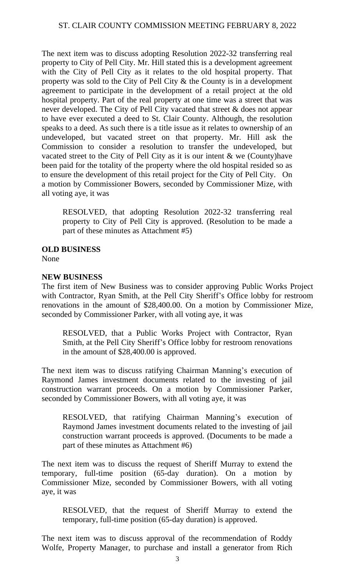The next item was to discuss adopting Resolution 2022-32 transferring real property to City of Pell City. Mr. Hill stated this is a development agreement with the City of Pell City as it relates to the old hospital property. That property was sold to the City of Pell City & the County is in a development agreement to participate in the development of a retail project at the old hospital property. Part of the real property at one time was a street that was never developed. The City of Pell City vacated that street & does not appear to have ever executed a deed to St. Clair County. Although, the resolution speaks to a deed. As such there is a title issue as it relates to ownership of an undeveloped, but vacated street on that property. Mr. Hill ask the Commission to consider a resolution to transfer the undeveloped, but vacated street to the City of Pell City as it is our intent & we (County)have been paid for the totality of the property where the old hospital resided so as to ensure the development of this retail project for the City of Pell City. On a motion by Commissioner Bowers, seconded by Commissioner Mize, with all voting aye, it was

RESOLVED, that adopting Resolution 2022-32 transferring real property to City of Pell City is approved. (Resolution to be made a part of these minutes as Attachment #5)

**OLD BUSINESS**

None

## **NEW BUSINESS**

The first item of New Business was to consider approving Public Works Project with Contractor, Ryan Smith, at the Pell City Sheriff's Office lobby for restroom renovations in the amount of \$28,400.00. On a motion by Commissioner Mize, seconded by Commissioner Parker, with all voting aye, it was

RESOLVED, that a Public Works Project with Contractor, Ryan Smith, at the Pell City Sheriff's Office lobby for restroom renovations in the amount of \$28,400.00 is approved.

The next item was to discuss ratifying Chairman Manning's execution of Raymond James investment documents related to the investing of jail construction warrant proceeds. On a motion by Commissioner Parker, seconded by Commissioner Bowers, with all voting aye, it was

RESOLVED, that ratifying Chairman Manning's execution of Raymond James investment documents related to the investing of jail construction warrant proceeds is approved. (Documents to be made a part of these minutes as Attachment #6)

The next item was to discuss the request of Sheriff Murray to extend the temporary, full-time position (65-day duration). On a motion by Commissioner Mize, seconded by Commissioner Bowers, with all voting aye, it was

RESOLVED, that the request of Sheriff Murray to extend the temporary, full-time position (65-day duration) is approved.

The next item was to discuss approval of the recommendation of Roddy Wolfe, Property Manager, to purchase and install a generator from Rich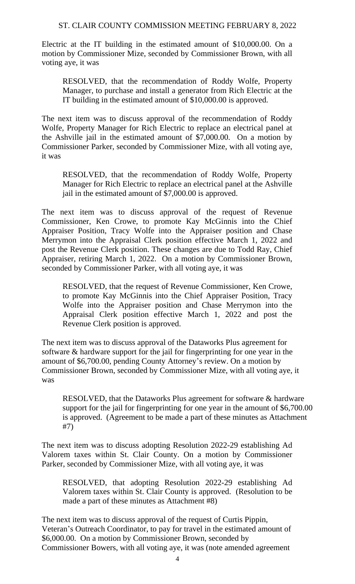Electric at the IT building in the estimated amount of \$10,000.00. On a motion by Commissioner Mize, seconded by Commissioner Brown, with all voting aye, it was

RESOLVED, that the recommendation of Roddy Wolfe, Property Manager, to purchase and install a generator from Rich Electric at the IT building in the estimated amount of \$10,000.00 is approved.

The next item was to discuss approval of the recommendation of Roddy Wolfe, Property Manager for Rich Electric to replace an electrical panel at the Ashville jail in the estimated amount of \$7,000.00. On a motion by Commissioner Parker, seconded by Commissioner Mize, with all voting aye, it was

RESOLVED, that the recommendation of Roddy Wolfe, Property Manager for Rich Electric to replace an electrical panel at the Ashville jail in the estimated amount of \$7,000.00 is approved.

The next item was to discuss approval of the request of Revenue Commissioner, Ken Crowe, to promote Kay McGinnis into the Chief Appraiser Position, Tracy Wolfe into the Appraiser position and Chase Merrymon into the Appraisal Clerk position effective March 1, 2022 and post the Revenue Clerk position. These changes are due to Todd Ray, Chief Appraiser, retiring March 1, 2022. On a motion by Commissioner Brown, seconded by Commissioner Parker, with all voting aye, it was

RESOLVED, that the request of Revenue Commissioner, Ken Crowe, to promote Kay McGinnis into the Chief Appraiser Position, Tracy Wolfe into the Appraiser position and Chase Merrymon into the Appraisal Clerk position effective March 1, 2022 and post the Revenue Clerk position is approved.

The next item was to discuss approval of the Dataworks Plus agreement for software & hardware support for the jail for fingerprinting for one year in the amount of \$6,700.00, pending County Attorney's review. On a motion by Commissioner Brown, seconded by Commissioner Mize, with all voting aye, it was

RESOLVED, that the Dataworks Plus agreement for software & hardware support for the jail for fingerprinting for one year in the amount of \$6,700.00 is approved. (Agreement to be made a part of these minutes as Attachment #7)

The next item was to discuss adopting Resolution 2022-29 establishing Ad Valorem taxes within St. Clair County. On a motion by Commissioner Parker, seconded by Commissioner Mize, with all voting aye, it was

RESOLVED, that adopting Resolution 2022-29 establishing Ad Valorem taxes within St. Clair County is approved. (Resolution to be made a part of these minutes as Attachment #8)

The next item was to discuss approval of the request of Curtis Pippin, Veteran's Outreach Coordinator, to pay for travel in the estimated amount of \$6,000.00. On a motion by Commissioner Brown, seconded by Commissioner Bowers, with all voting aye, it was (note amended agreement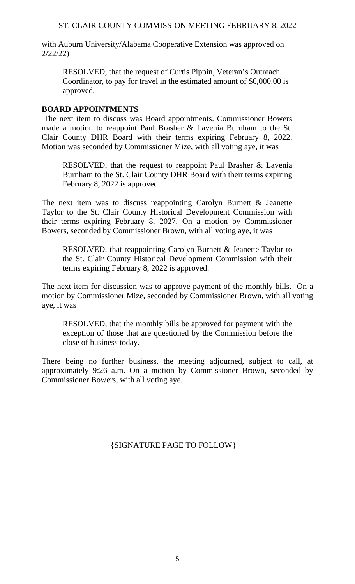with Auburn University/Alabama Cooperative Extension was approved on 2/22/22)

RESOLVED, that the request of Curtis Pippin, Veteran's Outreach Coordinator, to pay for travel in the estimated amount of \$6,000.00 is approved.

#### **BOARD APPOINTMENTS**

The next item to discuss was Board appointments. Commissioner Bowers made a motion to reappoint Paul Brasher & Lavenia Burnham to the St. Clair County DHR Board with their terms expiring February 8, 2022. Motion was seconded by Commissioner Mize, with all voting aye, it was

RESOLVED, that the request to reappoint Paul Brasher & Lavenia Burnham to the St. Clair County DHR Board with their terms expiring February 8, 2022 is approved.

The next item was to discuss reappointing Carolyn Burnett & Jeanette Taylor to the St. Clair County Historical Development Commission with their terms expiring February 8, 2027. On a motion by Commissioner Bowers, seconded by Commissioner Brown, with all voting aye, it was

RESOLVED, that reappointing Carolyn Burnett & Jeanette Taylor to the St. Clair County Historical Development Commission with their terms expiring February 8, 2022 is approved.

The next item for discussion was to approve payment of the monthly bills. On a motion by Commissioner Mize, seconded by Commissioner Brown, with all voting aye, it was

RESOLVED, that the monthly bills be approved for payment with the exception of those that are questioned by the Commission before the close of business today.

There being no further business, the meeting adjourned, subject to call, at approximately 9:26 a.m. On a motion by Commissioner Brown, seconded by Commissioner Bowers, with all voting aye.

{SIGNATURE PAGE TO FOLLOW}